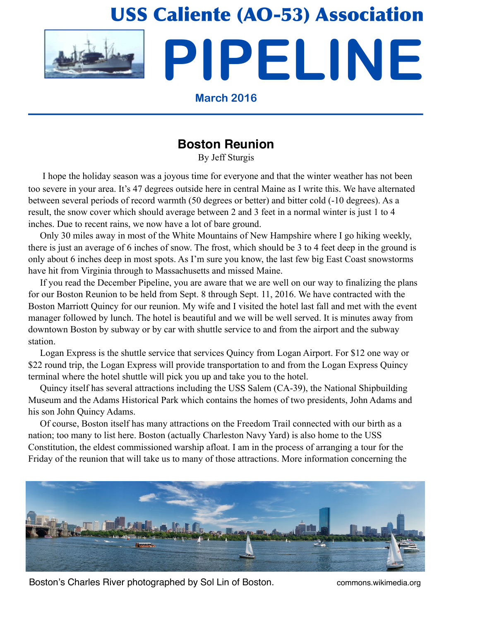

# **Boston Reunion**

By Jeff Sturgis

 I hope the holiday season was a joyous time for everyone and that the winter weather has not been too severe in your area. It's 47 degrees outside here in central Maine as I write this. We have alternated between several periods of record warmth (50 degrees or better) and bitter cold (-10 degrees). As a result, the snow cover which should average between 2 and 3 feet in a normal winter is just 1 to 4 inches. Due to recent rains, we now have a lot of bare ground.

 Only 30 miles away in most of the White Mountains of New Hampshire where I go hiking weekly, there is just an average of 6 inches of snow. The frost, which should be 3 to 4 feet deep in the ground is only about 6 inches deep in most spots. As I'm sure you know, the last few big East Coast snowstorms have hit from Virginia through to Massachusetts and missed Maine.

 If you read the December Pipeline, you are aware that we are well on our way to finalizing the plans for our Boston Reunion to be held from Sept. 8 through Sept. 11, 2016. We have contracted with the Boston Marriott Quincy for our reunion. My wife and I visited the hotel last fall and met with the event manager followed by lunch. The hotel is beautiful and we will be well served. It is minutes away from downtown Boston by subway or by car with shuttle service to and from the airport and the subway station.

 Logan Express is the shuttle service that services Quincy from Logan Airport. For \$12 one way or \$22 round trip, the Logan Express will provide transportation to and from the Logan Express Quincy terminal where the hotel shuttle will pick you up and take you to the hotel.

 Quincy itself has several attractions including the USS Salem (CA-39), the National Shipbuilding Museum and the Adams Historical Park which contains the homes of two presidents, John Adams and his son John Quincy Adams.

 Of course, Boston itself has many attractions on the Freedom Trail connected with our birth as a nation; too many to list here. Boston (actually Charleston Navy Yard) is also home to the USS Constitution, the eldest commissioned warship afloat. I am in the process of arranging a tour for the Friday of the reunion that will take us to many of those attractions. More information concerning the



Boston's Charles River photographed by Sol Lin of Boston. The commons wikimedia.org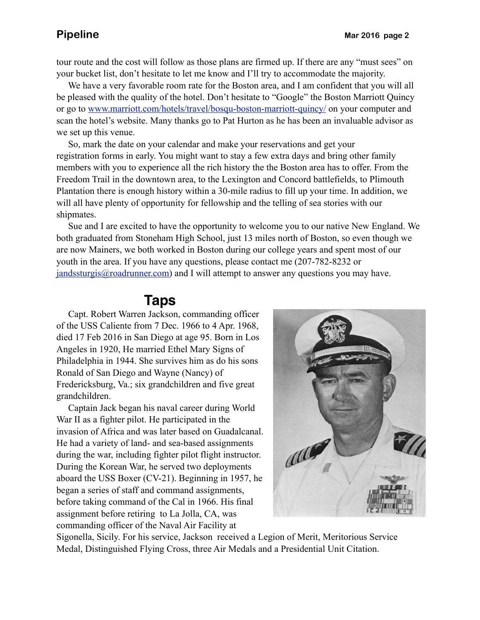tour route and the cost will follow as those plans are firmed up. If there are any "must sees" on your bucket list, don't hesitate to let me know and I'll try to accommodate the majority.

 We have a very favorable room rate for the Boston area, and I am confident that you will all be pleased with the quality of the hotel. Don't hesitate to "Google" the Boston Marriott Quincy or go to [www.marriott.com/hotels/travel/bosqu-boston-marriott-quincy/](http://www.marriott.com/hotels/travel/bosqu-boston-marriott-quincy/) on your computer and scan the hotel's website. Many thanks go to Pat Hurton as he has been an invaluable advisor as we set up this venue.

 So, mark the date on your calendar and make your reservations and get your registration forms in early. You might want to stay a few extra days and bring other family members with you to experience all the rich history the the Boston area has to offer. From the Freedom Trail in the downtown area, to the Lexington and Concord battlefields, to Plimouth Plantation there is enough history within a 30-mile radius to fill up your time. In addition, we will all have plenty of opportunity for fellowship and the telling of sea stories with our shipmates.

 Sue and I are excited to have the opportunity to welcome you to our native New England. We both graduated from Stoneham High School, just 13 miles north of Boston, so even though we are now Mainers, we both worked in Boston during our college years and spent most of our youth in the area. If you have any questions, please contact me (207-782-8232 or [jandssturgis@roadrunner.com\)](mailto:jandssturgis@roadrunner.com) and I will attempt to answer any questions you may have.

## **Taps**

 Capt. Robert Warren Jackson, commanding officer of the USS Caliente from 7 Dec. 1966 to 4 Apr. 1968, died 17 Feb 2016 in San Diego at age 95. Born in Los Angeles in 1920, He married Ethel Mary Signs of Philadelphia in 1944. She survives him as do his sons Ronald of San Diego and Wayne (Nancy) of Fredericksburg, Va.; six grandchildren and five great grandchildren.

 Captain Jack began his naval career during World War II as a fighter pilot. He participated in the invasion of Africa and was later based on Guadalcanal. He had a variety of land- and sea-based assignments during the war, including fighter pilot flight instructor. During the Korean War, he served two deployments aboard the USS Boxer (CV-21). Beginning in 1957, he began a series of staff and command assignments, before taking command of the Cal in 1966. His final assignment before retiring to La Jolla, CA, was commanding officer of the Naval Air Facility at



Sigonella, Sicily. For his service, Jackson received a Legion of Merit, Meritorious Service Medal, Distinguished Flying Cross, three Air Medals and a Presidential Unit Citation.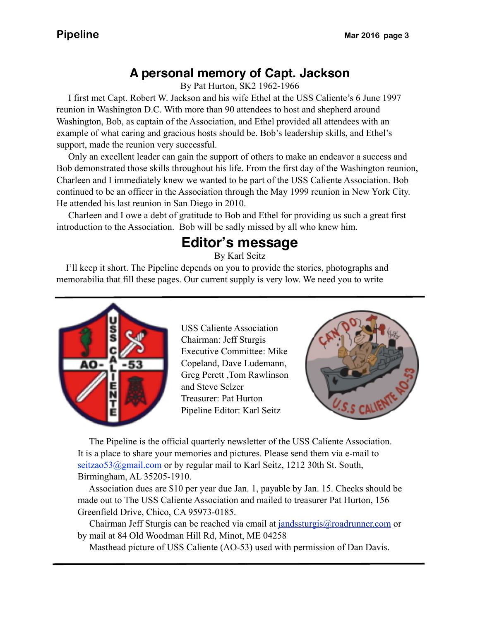# **A personal memory of Capt. Jackson**

By Pat Hurton, SK2 1962-1966

 example of what caring and gracious hosts should be. Bob's leadership skills, and Ethel's I first met Capt. Robert W. Jackson and his wife Ethel at the USS Caliente's 6 June 1997 reunion in Washington D.C. With more than 90 attendees to host and shepherd around Washington, Bob, as captain of the Association, and Ethel provided all attendees with an support, made the reunion very successful.

 Only an excellent leader can gain the support of others to make an endeavor a success and Bob demonstrated those skills throughout his life. From the first day of the Washington reunion, Charleen and I immediately knew we wanted to be part of the USS Caliente Association. Bob continued to be an officer in the Association through the May 1999 reunion in New York City. He attended his last reunion in San Diego in 2010.

 Charleen and I owe a debt of gratitude to Bob and Ethel for providing us such a great first introduction to the Association. Bob will be sadly missed by all who knew him.

# **Editor's message**

By Karl Seitz

 I'll keep it short. The Pipeline depends on you to provide the stories, photographs and memorabilia that fill these pages. Our current supply is very low. We need you to write



USS Caliente Association Chairman: Jeff Sturgis Executive Committee: Mike Copeland, Dave Ludemann, Greg Perett ,Tom Rawlinson and Steve Selzer Treasurer: Pat Hurton Pipeline Editor: Karl Seitz



 The Pipeline is the official quarterly newsletter of the USS Caliente Association. It is a place to share your memories and pictures. Please send them via e-mail to seitzao53@gmail.com or by regular mail to Karl Seitz, 1212 30th St. South, Birmingham, AL 35205-1910.

 Association dues are \$10 per year due Jan. 1, payable by Jan. 15. Checks should be made out to The USS Caliente Association and mailed to treasurer Pat Hurton, 156 Greenfield Drive, Chico, CA 95973-0185.

 Chairman Jeff Sturgis can be reached via email at [jandssturgis@roadrunner.com](mailto:jandssturgis@roadrunner.com) or by mail at 84 Old Woodman Hill Rd, Minot, ME 04258

Masthead picture of USS Caliente (AO-53) used with permission of Dan Davis.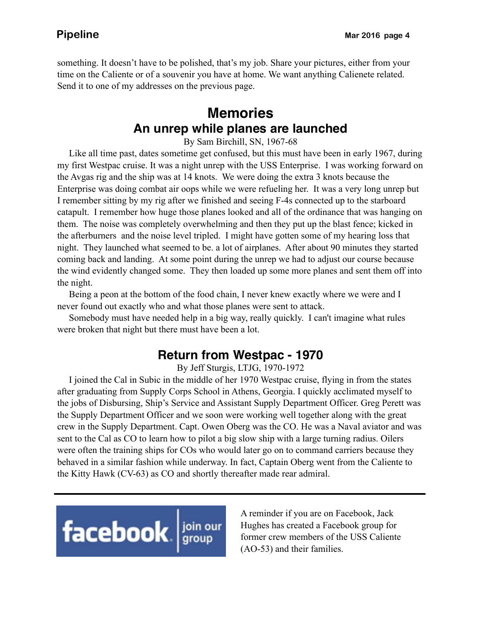something. It doesn't have to be polished, that's my job. Share your pictures, either from your time on the Caliente or of a souvenir you have at home. We want anything Calienete related. Send it to one of my addresses on the previous page.

## **Memories An unrep while planes are launched**

By Sam Birchill, SN, 1967-68

 Like all time past, dates sometime get confused, but this must have been in early 1967, during my first Westpac cruise. It was a night unrep with the USS Enterprise. I was working forward on the Avgas rig and the ship was at 14 knots. We were doing the extra 3 knots because the Enterprise was doing combat air oops while we were refueling her. It was a very long unrep but I remember sitting by my rig after we finished and seeing F-4s connected up to the starboard catapult. I remember how huge those planes looked and all of the ordinance that was hanging on them. The noise was completely overwhelming and then they put up the blast fence; kicked in the afterburners and the noise level tripled. I might have gotten some of my hearing loss that night. They launched what seemed to be. a lot of airplanes. After about 90 minutes they started coming back and landing. At some point during the unrep we had to adjust our course because the wind evidently changed some. They then loaded up some more planes and sent them off into the night.

 Being a peon at the bottom of the food chain, I never knew exactly where we were and I never found out exactly who and what those planes were sent to attack.

 Somebody must have needed help in a big way, really quickly. I can't imagine what rules were broken that night but there must have been a lot.

### **Return from Westpac - 1970**

By Jeff Sturgis, LTJG, 1970-1972

 I joined the Cal in Subic in the middle of her 1970 Westpac cruise, flying in from the states after graduating from Supply Corps School in Athens, Georgia. I quickly acclimated myself to the jobs of Disbursing, Ship's Service and Assistant Supply Department Officer. Greg Perett was the Supply Department Officer and we soon were working well together along with the great crew in the Supply Department. Capt. Owen Oberg was the CO. He was a Naval aviator and was sent to the Cal as CO to learn how to pilot a big slow ship with a large turning radius. Oilers were often the training ships for COs who would later go on to command carriers because they behaved in a similar fashion while underway. In fact, Captain Oberg went from the Caliente to the Kitty Hawk (CV-63) as CO and shortly thereafter made rear admiral.



A reminder if you are on Facebook, Jack Hughes has created a Facebook group for former crew members of the USS Caliente (AO-53) and their families.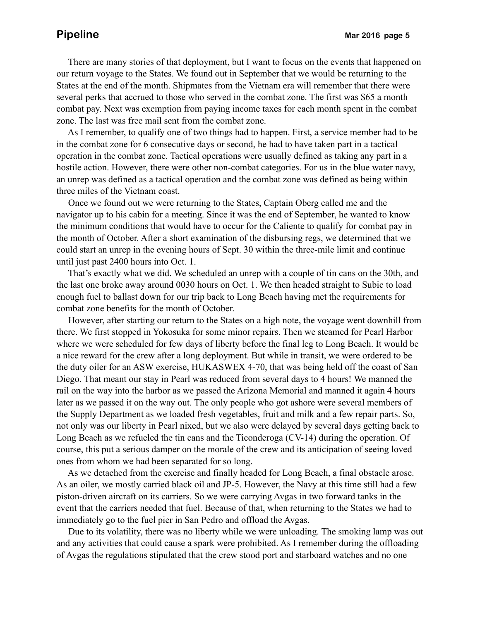There are many stories of that deployment, but I want to focus on the events that happened on our return voyage to the States. We found out in September that we would be returning to the States at the end of the month. Shipmates from the Vietnam era will remember that there were several perks that accrued to those who served in the combat zone. The first was \$65 a month combat pay. Next was exemption from paying income taxes for each month spent in the combat zone. The last was free mail sent from the combat zone.

 As I remember, to qualify one of two things had to happen. First, a service member had to be in the combat zone for 6 consecutive days or second, he had to have taken part in a tactical operation in the combat zone. Tactical operations were usually defined as taking any part in a hostile action. However, there were other non-combat categories. For us in the blue water navy, an unrep was defined as a tactical operation and the combat zone was defined as being within three miles of the Vietnam coast.

 Once we found out we were returning to the States, Captain Oberg called me and the navigator up to his cabin for a meeting. Since it was the end of September, he wanted to know the minimum conditions that would have to occur for the Caliente to qualify for combat pay in the month of October. After a short examination of the disbursing regs, we determined that we could start an unrep in the evening hours of Sept. 30 within the three-mile limit and continue until just past 2400 hours into Oct. 1.

 That's exactly what we did. We scheduled an unrep with a couple of tin cans on the 30th, and the last one broke away around 0030 hours on Oct. 1. We then headed straight to Subic to load enough fuel to ballast down for our trip back to Long Beach having met the requirements for combat zone benefits for the month of October.

 However, after starting our return to the States on a high note, the voyage went downhill from there. We first stopped in Yokosuka for some minor repairs. Then we steamed for Pearl Harbor where we were scheduled for few days of liberty before the final leg to Long Beach. It would be a nice reward for the crew after a long deployment. But while in transit, we were ordered to be the duty oiler for an ASW exercise, HUKASWEX 4-70, that was being held off the coast of San Diego. That meant our stay in Pearl was reduced from several days to 4 hours! We manned the rail on the way into the harbor as we passed the Arizona Memorial and manned it again 4 hours later as we passed it on the way out. The only people who got ashore were several members of the Supply Department as we loaded fresh vegetables, fruit and milk and a few repair parts. So, not only was our liberty in Pearl nixed, but we also were delayed by several days getting back to Long Beach as we refueled the tin cans and the Ticonderoga (CV-14) during the operation. Of course, this put a serious damper on the morale of the crew and its anticipation of seeing loved ones from whom we had been separated for so long.

 As we detached from the exercise and finally headed for Long Beach, a final obstacle arose. As an oiler, we mostly carried black oil and JP-5. However, the Navy at this time still had a few piston-driven aircraft on its carriers. So we were carrying Avgas in two forward tanks in the event that the carriers needed that fuel. Because of that, when returning to the States we had to immediately go to the fuel pier in San Pedro and offload the Avgas.

 Due to its volatility, there was no liberty while we were unloading. The smoking lamp was out and any activities that could cause a spark were prohibited. As I remember during the offloading of Avgas the regulations stipulated that the crew stood port and starboard watches and no one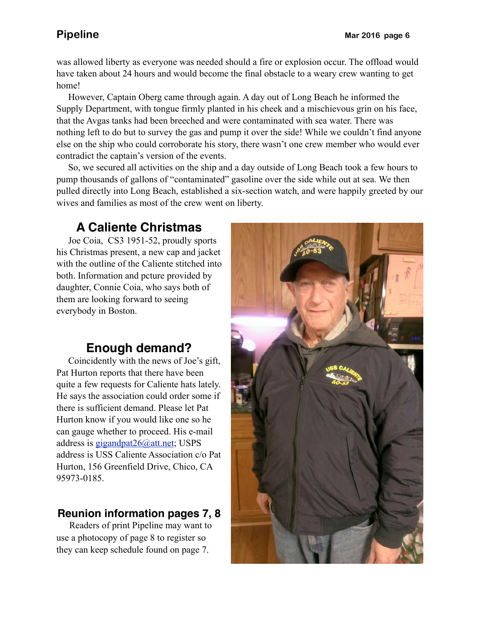was allowed liberty as everyone was needed should a fire or explosion occur. The offload would have taken about 24 hours and would become the final obstacle to a weary crew wanting to get home!

 However, Captain Oberg came through again. A day out of Long Beach he informed the Supply Department, with tongue firmly planted in his cheek and a mischievous grin on his face, that the Avgas tanks had been breeched and were contaminated with sea water. There was nothing left to do but to survey the gas and pump it over the side! While we couldn't find anyone else on the ship who could corroborate his story, there wasn't one crew member who would ever contradict the captain's version of the events.

 So, we secured all activities on the ship and a day outside of Long Beach took a few hours to pump thousands of gallons of "contaminated" gasoline over the side while out at sea. We then pulled directly into Long Beach, established a six-section watch, and were happily greeted by our wives and families as most of the crew went on liberty.

# **A Caliente Christmas**

 Joe Coia, CS3 1951-52, proudly sports his Christmas present, a new cap and jacket with the outline of the Caliente stitched into both. Information and pcture provided by daughter, Connie Coia, who says both of them are looking forward to seeing everybody in Boston.

# **Enough demand?**

 Coincidently with the news of Joe's gift, Pat Hurton reports that there have been quite a few requests for Caliente hats lately. He says the association could order some if there is sufficient demand. Please let Pat Hurton know if you would like one so he can gauge whether to proceed. His e-mail address is [gigandpat26@att.net;](mailto:gigandpat26@att.net) USPS address is USS Caliente Association c/o Pat Hurton, 156 Greenfield Drive, Chico, CA 95973-0185.

### **Reunion information pages 7, 8**

Readers of print Pipeline may want to use a photocopy of page 8 to register so they can keep schedule found on page 7.

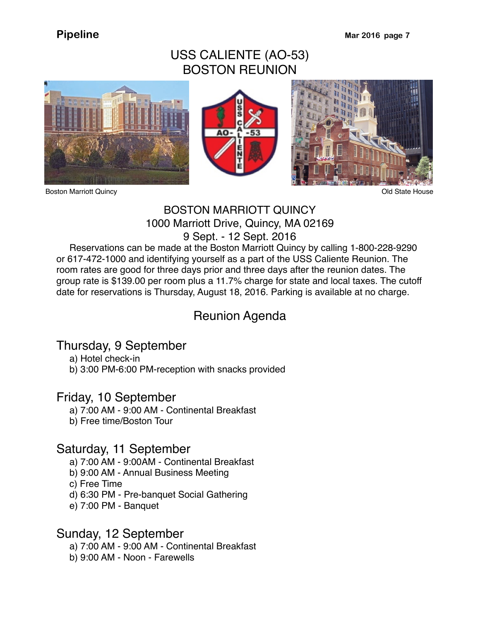## USS CALIENTE (AO-53) BOSTON REUNION









### BOSTON MARRIOTT QUINCY 1000 Marriott Drive, Quincy, MA 02169 9 Sept. - 12 Sept. 2016

 Reservations can be made at the Boston Marriott Quincy by calling 1-800-228-9290 or 617-472-1000 and identifying yourself as a part of the USS Caliente Reunion. The room rates are good for three days prior and three days after the reunion dates. The group rate is \$139.00 per room plus a 11.7% charge for state and local taxes. The cutoff date for reservations is Thursday, August 18, 2016. Parking is available at no charge.

## Reunion Agenda

## Thursday, 9 September

a) Hotel check-in

b) 3:00 PM-6:00 PM-reception with snacks provided

### Friday, 10 September

- a) 7:00 AM 9:00 AM Continental Breakfast
- b) Free time/Boston Tour

### Saturday, 11 September

- a) 7:00 AM 9:00AM Continental Breakfast
- b) 9:00 AM Annual Business Meeting
- c) Free Time
- d) 6:30 PM Pre-banquet Social Gathering
- e) 7:00 PM Banquet

### Sunday, 12 September

- a) 7:00 AM 9:00 AM Continental Breakfast
- b) 9:00 AM Noon Farewells